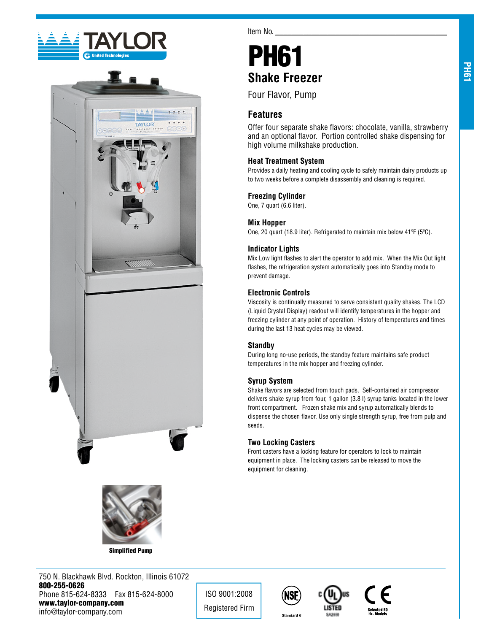





Simplified Pump

750 N. Blackhawk Blvd. Rockton, Illinois 61072 800-255-0626 Phone 815-624-8333 Fax 815-624-8000 www.taylor-company.com info@taylor-company.com

ISO 9001:2008 Registered Firm







# PH61 **Shake Freezer**

Four Flavor, Pump

# **Features**

Item No.

Offer four separate shake flavors: chocolate, vanilla, strawberry and an optional flavor. Portion controlled shake dispensing for high volume milkshake production.

# **Heat Treatment System**

Provides a daily heating and cooling cycle to safely maintain dairy products up to two weeks before a complete disassembly and cleaning is required.

# **Freezing Cylinder**

One, 7 quart (6.6 liter).

## **Mix Hopper**

One, 20 quart (18.9 liter). Refrigerated to maintain mix below 41ºF (5ºC).

## **Indicator Lights**

Mix Low light flashes to alert the operator to add mix. When the Mix Out light flashes, the refrigeration system automatically goes into Standby mode to prevent damage.

## **Electronic Controls**

Viscosity is continually measured to serve consistent quality shakes. The LCD (Liquid Crystal Display) readout will identify temperatures in the hopper and freezing cylinder at any point of operation. History of temperatures and times during the last 13 heat cycles may be viewed.

## **Standby**

During long no-use periods, the standby feature maintains safe product temperatures in the mix hopper and freezing cylinder.

# **Syrup System**

Shake flavors are selected from touch pads. Self-contained air compressor delivers shake syrup from four, 1 gallon (3.8 l) syrup tanks located in the lower front compartment. Frozen shake mix and syrup automatically blends to dispense the chosen flavor. Use only single strength syrup, free from pulp and seeds.

# **Two Locking Casters**

Front casters have a locking feature for operators to lock to maintain equipment in place. The locking casters can be released to move the equipment for cleaning.